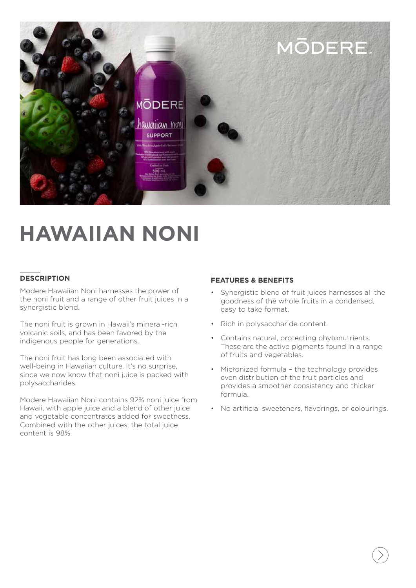

# **HAWAIIAN NONI**

## **DESCRIPTION**

Modere Hawaiian Noni harnesses the power of the noni fruit and a range of other fruit juices in a synergistic blend.

The noni fruit is grown in Hawaii's mineral-rich volcanic soils, and has been favored by the indigenous people for generations.

The noni fruit has long been associated with well-being in Hawaiian culture. It's no surprise, since we now know that noni juice is packed with polysaccharides.

Modere Hawaiian Noni contains 92% noni juice from Hawaii, with apple juice and a blend of other juice and vegetable concentrates added for sweetness. Combined with the other juices, the total juice content is 98%.

### **FEATURES & BENEFITS**

- Synergistic blend of fruit juices harnesses all the goodness of the whole fruits in a condensed, easy to take format.
- Rich in polysaccharide content.
- Contains natural, protecting phytonutrients. These are the active pigments found in a range of fruits and vegetables.
- Micronized formula the technology provides even distribution of the fruit particles and provides a smoother consistency and thicker formula.
- No artificial sweeteners, flavorings, or colourings.